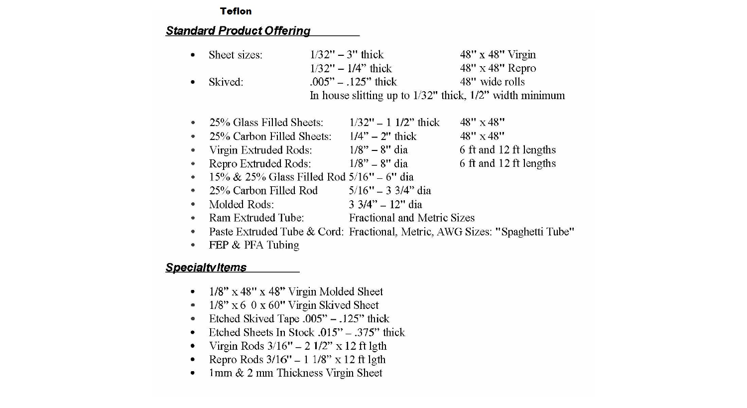#### **Teflon**

## **Standard Product Offering**

|   | Sheet sizes:                                     | $1/32" - 3"$ thick          | 48" x 48" Virgin                                                            |
|---|--------------------------------------------------|-----------------------------|-----------------------------------------------------------------------------|
|   |                                                  | $1/32" - 1/4"$ thick        | $48" \times 48"$ Repro                                                      |
|   | Skived:                                          | $.005" - .125"$ thick       | 48" wide rolls                                                              |
|   |                                                  |                             | In house slitting up to $1/32$ " thick, $1/2$ " width minimum               |
|   |                                                  |                             |                                                                             |
|   | 25% Glass Filled Sheets:                         | $1/32" - 11/2"$ thick       | $48" \times 48"$                                                            |
|   | 25% Carbon Filled Sheets:                        | $1/4" - 2"$ thick           | $48" \times 48"$                                                            |
|   | Virgin Extruded Rods:                            | $1/8" - 8"$ dia             | 6 ft and 12 ft lengths                                                      |
|   | Repro Extruded Rods:                             | $1/8" - 8"$ dia             | 6 ft and 12 ft lengths                                                      |
|   | $15\% \& 25\%$ Glass Filled Rod $5/16"$ – 6" dia |                             |                                                                             |
|   | 25% Carbon Filled Rod                            | $5/16" - 3\frac{3}{4"$ dia  |                                                                             |
|   | Molded Rods:                                     | $3\frac{3}{4}$ - 12" dia    |                                                                             |
|   | Ram Extruded Tube:                               | Fractional and Metric Sizes |                                                                             |
| ۰ |                                                  |                             | Paste Extruded Tube & Cord: Fractional, Metric, AWG Sizes: "Spaghetti Tube" |
|   | FEP & PFA Tubing                                 |                             |                                                                             |

## **Specialtvitems**

- $1/8$ " x 48" x 48" Virgin Molded Sheet
- $1/8$ " x 6 0 x 60" Virgin Skived Sheet  $\bullet$
- Etched Skived Tape .005"  $.125$ " thick  $\bullet$
- Etched Sheets In Stock .015"  $.375"$  thick
- Virgin Rods  $3/16'' 21/2'' \times 12$  ft lgth
- Repro Rods 3/16" 1 1/8" x 12 ft lgth  $\bullet$
- 1mm & 2 mm Thickness Virgin Sheet  $\bullet$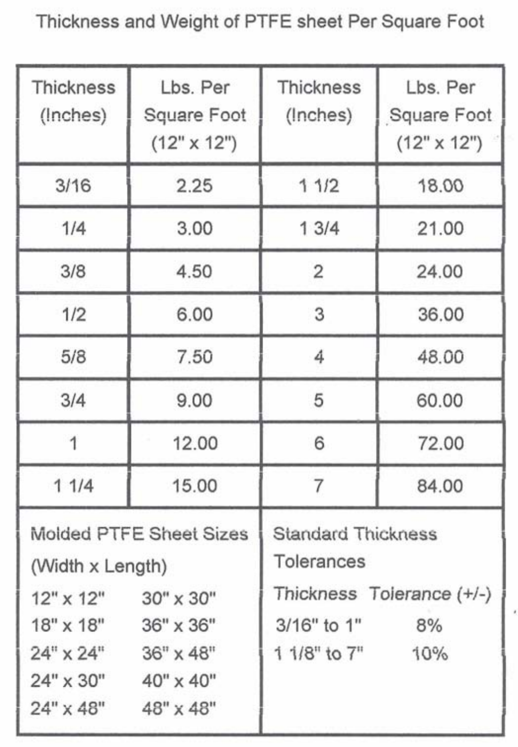**Thickness and Weight of PTFE sheet Per Square Foot** 

| <b>Thickness</b><br>(Inches)                                                                 | Lbs. Per<br>Square Foot<br>$(12" \times 12")$                                  | <b>Thickness</b><br>(Inches)                                                                                        | Lbs. Per<br>Square Foot<br>$(12" \times 12")$ |  |
|----------------------------------------------------------------------------------------------|--------------------------------------------------------------------------------|---------------------------------------------------------------------------------------------------------------------|-----------------------------------------------|--|
| 3/16                                                                                         | 2.25                                                                           | 11/2                                                                                                                | 18.00                                         |  |
| 1/4                                                                                          | 3.00                                                                           | 13/4                                                                                                                | 21.00                                         |  |
| 3/8                                                                                          | 4.50                                                                           | 2                                                                                                                   | 24.00                                         |  |
| 1/2                                                                                          | 6.00                                                                           | 3                                                                                                                   | 36.00                                         |  |
| 5/8                                                                                          | 7.50                                                                           | 4                                                                                                                   | 48.00                                         |  |
| 3/4                                                                                          | 9.00                                                                           | 5                                                                                                                   | 60.00                                         |  |
| $\mathbf{1}$                                                                                 | 12.00                                                                          | 6                                                                                                                   | 72.00                                         |  |
| 11/4                                                                                         | 15.00                                                                          | 7                                                                                                                   | 84.00                                         |  |
| (Width x Length)<br>$12" \times 12"$<br>18" x 18"<br>$24" \times 24"$<br>24" x 30" 40" x 40" | Molded PTFE Sheet Sizes<br>$30'' \times 30''$<br>36" x 36"<br>$36" \times 48"$ | <b>Standard Thickness</b><br>Tolerances<br>Thickness Tolerance (+/-)<br>3/16" to 1"<br>8%<br>$11/8"$ to $7"$<br>10% |                                               |  |
| $24" \times 48"$                                                                             | 48" x 48"                                                                      |                                                                                                                     |                                               |  |

ł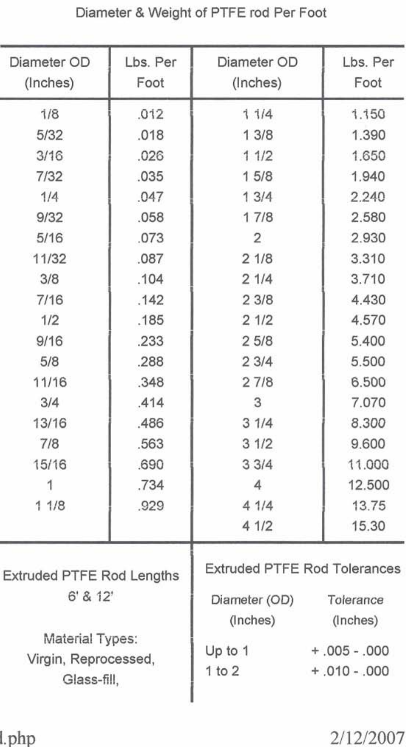| Diameter OD<br>(Inches)                                                                                                                                | Lbs. Per<br>Foot                                                                                                                                             | Diameter OD<br>(Inches)                                                                                                                                                  | Lbs. Per<br>Foot                                                                                                                                                                            |
|--------------------------------------------------------------------------------------------------------------------------------------------------------|--------------------------------------------------------------------------------------------------------------------------------------------------------------|--------------------------------------------------------------------------------------------------------------------------------------------------------------------------|---------------------------------------------------------------------------------------------------------------------------------------------------------------------------------------------|
| 1/8<br>5/32<br>3/16<br>7/32<br>1/4<br>9/32<br>5/16<br>11/32<br>3/8<br>7/16<br>1/2<br>9/16<br>5/8<br>11/16<br>3/4<br>13/16<br>7/8<br>15/16<br>1<br>11/8 | .012<br>.018<br>.026<br>.035<br>.047<br>.058<br>.073<br>.087<br>.104<br>.142<br>.185<br>.233<br>.288<br>.348<br>.414<br>.486<br>.563<br>.690<br>.734<br>.929 | 11/4<br>13/8<br>11/2<br>15/8<br>13/4<br>17/8<br>$\overline{2}$<br>21/8<br>21/4<br>23/8<br>21/2<br>25/8<br>23/4<br>27/8<br>3<br>31/4<br>31/2<br>33/4<br>4<br>41/4<br>41/2 | 1.150<br>1.390<br>1.650<br>1.940<br>2.240<br>2.580<br>2.930<br>3.310<br>3.710<br>4.430<br>4.570<br>5.400<br>5.500<br>6,500<br>7.070<br>8.300<br>9.600<br>11,000<br>12.500<br>13.75<br>15.30 |
| <b>Extruded PTFE Rod Lengths</b><br>6' 8 12'<br>Material Types:<br>Virgin, Reprocessed,<br>Glass-fill,                                                 |                                                                                                                                                              | <b>Extruded PTFE Rod Tolerances</b><br>Diameter (OD)<br>(Inches)<br>Up to 1<br>$1$ to $2$                                                                                | Tolerance<br>(Inches)<br>$+ .005 - .000$<br>$+ .010 - .000$                                                                                                                                 |

### **Diameter** & **Weight of PTFE rod Per Foot**

## l.php

# 2/12/2007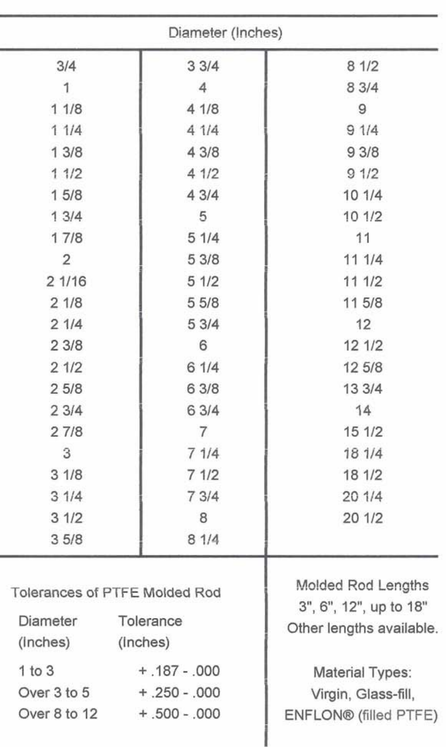|                                                        | Diameter (Inches)                                                        |                                              |
|--------------------------------------------------------|--------------------------------------------------------------------------|----------------------------------------------|
| 3/4                                                    | 33/4                                                                     | 81/2                                         |
| 1                                                      | $\overline{4}$                                                           | 8 3/4                                        |
| 11/8                                                   | 41/8                                                                     | 9                                            |
| 11/4                                                   | 41/4                                                                     | 91/4                                         |
| 13/8                                                   | 4 3/8                                                                    | 93/8                                         |
| 11/2                                                   | 41/2                                                                     | 91/2                                         |
| 15/8                                                   | 43/4                                                                     | 10 1/4                                       |
| 13/4                                                   | 5                                                                        | 101/2                                        |
| 17/8                                                   | 51/4                                                                     | 11                                           |
| $\overline{2}$                                         | 53/8                                                                     | 111/4                                        |
| 21/16                                                  | 51/2                                                                     | 111/2                                        |
| 21/8                                                   | 55/8                                                                     | 11 5/8                                       |
| 21/4                                                   | 53/4                                                                     | 12                                           |
| 23/8                                                   | 6                                                                        | 121/2                                        |
| 21/2                                                   | 61/4                                                                     | 12 5/8                                       |
| 25/8                                                   | 6 3/8                                                                    | 13 3/4                                       |
| 23/4                                                   | 6 3/4                                                                    | 14                                           |
| 27/8                                                   | $\overline{7}$                                                           | 15 1/2                                       |
| 3                                                      | 71/4                                                                     | 18 1/4                                       |
| 31/8                                                   | 71/2                                                                     | 18 1/2                                       |
| 31/4                                                   | 73/4                                                                     | 201/4                                        |
| 31/2                                                   | 8                                                                        | 20 1/2                                       |
| 35/8                                                   | 81/4                                                                     |                                              |
| Tolerances of PTFE Molded Rod<br>Diameter<br>Tolerance | Molded Rod Lengths<br>3", 6", 12", up to 18"<br>Other lengths available. |                                              |
| (inches) (inches)                                      |                                                                          |                                              |
| 1 to 3                                                 | $+ .187 - .000$                                                          | Material Types:                              |
| Over 3 to 5 + .250 - .000<br>Over 8 to 12              | $+.500-.000$                                                             | Virgin, Glass-fill,<br>ENFLON® (filled PTFE) |
|                                                        |                                                                          |                                              |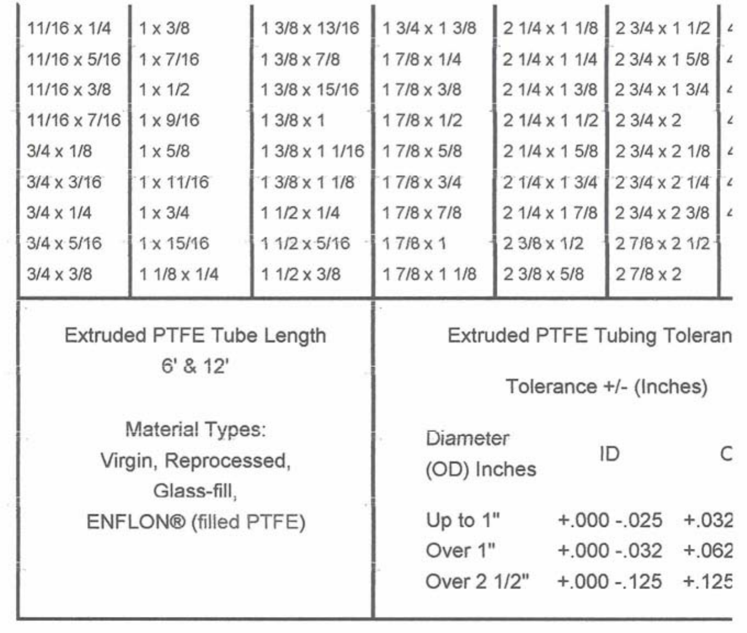|                                                        | 11/16 x 1/4           | $1 \times 3/8$    | 1 3/8 x 13/16                                                 | $13/4 \times 13/8$      | $21/4 \times 11/8$ | 2 3/4 x 1 1/2      |         |   |
|--------------------------------------------------------|-----------------------|-------------------|---------------------------------------------------------------|-------------------------|--------------------|--------------------|---------|---|
|                                                        | 11/16 x 5/16          | $1 \times 7/16$   | 1 3/8 x 7/8                                                   | $17/8 \times 1/4$       | $21/4 \times 11/4$ | 2 3/4 x 1 5/8      |         |   |
|                                                        | 11/16 x 3/8           | $1 \times 1/2$    | 1 3/8 x 15/16                                                 | 17/8 x 3/8              | $21/4 \times 13/8$ | 2 3/4 x 1 3/4      |         |   |
|                                                        | 11/16 x 7/16          | $1 \times 9/16$   | $13/8 \times 1$                                               | $17/8 \times 1/2$       | $21/4 \times 11/2$ | $23/4 \times 2$    |         | z |
|                                                        | $3/4 \times 1/8$      | $1 \times 5/8$    | 1 3/8 x 1 1/16                                                | 17/8 x 5/8              | $21/4 \times 15/8$ | 2 3/4 x 2 1/8      |         |   |
|                                                        | $3/4 \times 3/16$     | 1 x 11/16         | $13/8 \times 11/8$                                            | 17/8 x 3/4              | 2 1/4 x 1 3/4      | 2 3/4 x 2 1/4      |         |   |
|                                                        | $3/4 \times 1/4$      | $1 \times 3/4$    | $11/2 \times 1/4$                                             | 17/8 x 7/8              | $21/4 \times 17/8$ | 2 3/4 x 2 3/8      |         |   |
|                                                        | $3/4 \times 5/16$     | 1 x 15/16         | 1 1/2 x 5/16                                                  | $17/8\times1$           | 2 3/8 x 1/2        | $27/8 \times 21/2$ |         |   |
|                                                        | $3/4 \times 3/8$      | $11/8 \times 1/4$ | $11/2 \times 3/8$                                             | $17/8 \times 11/8$      | $23/8 \times 5/8$  | $27/8 \times 2$    |         |   |
| Extruded PTFE Tube Length<br>6' 8.12'                  |                       |                   | <b>Extruded PTFE Tubing Toleran</b><br>Tolerance +/- (Inches) |                         |                    |                    |         |   |
| Material Types:<br>Virgin, Reprocessed,<br>Glass-fill, |                       |                   |                                                               | Diameter<br>(OD) Inches |                    | ID                 |         | C |
|                                                        | ENFLON® (filled PTFE) |                   |                                                               | Up to $1"$              |                    | $+.000-.025$       | $+.032$ |   |
|                                                        |                       |                   |                                                               |                         |                    |                    |         |   |

Over 2 1/2" +.000 -.125 +.125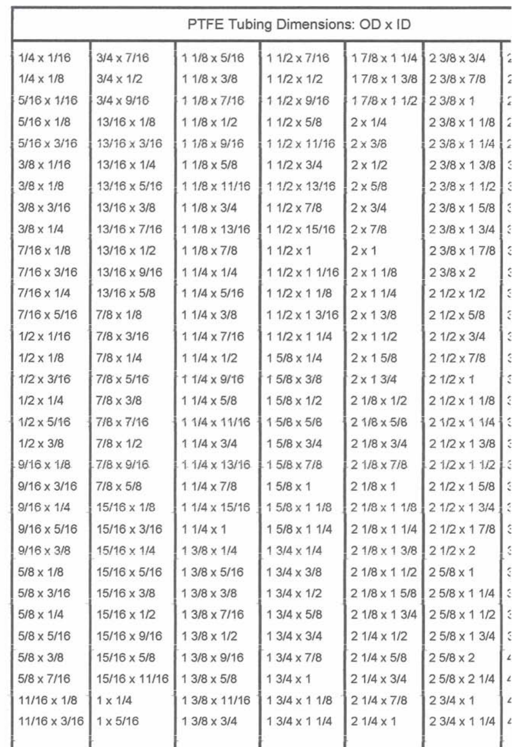| PTFE Tubing Dimensions: OD x ID |                    |                      |                    |                    |                    |                         |
|---------------------------------|--------------------|----------------------|--------------------|--------------------|--------------------|-------------------------|
| $1/4 \times 1/16$               | $3/4 \times 7/16$  | 1 1/8 x 5/16         | $11/2 \times 7/16$ | $17/8 \times 11/4$ | $23/8 \times 3/4$  |                         |
| $1/4 \times 1/8$                | $3/4 \times 1/2$   | 1 1/8 x 3/8          | $11/2 \times 1/2$  | 17/8 x 13/8        | 2 3/8 x 7/8        |                         |
| $5/16 \times 1/16$              | 3/4 x 9/16         | 1 1/8 x 7/16         | 1 1/2 x 9/16       | 17/8 x 1 1/2       | $23/8 \times 1$    |                         |
| $5/16 \times 1/8$               | 13/16 x 1/8        | $11/8 \times 1/2$    | $11/2 \times 5/8$  | $2 \times 1/4$     | 2 3/8 x 1 1/8      |                         |
| $5/16 \times 3/16$              | 13/16 x 3/16       | 1 1/8 x 9/16         | 1 1/2 x 11/16      | $2 \times 3/8$     | 2 3/8 x 1 1/4      |                         |
| $3/8 \times 1/16$               | 13/16 x 1/4        | 1 1/8 x 5/8          | $11/2 \times 3/4$  | $2 \times 1/2$     | 2 3/8 x 1 3/8      |                         |
| $3/8 \times 1/8$                | 13/16 x 5/16       | 1 1/8 x 11/16        | 1 1/2 x 13/16      | $2 \times 5/8$     | 2 3/8 x 1 1/2      |                         |
| $3/8 \times 3/16$               | 13/16 x 3/8        | 1 1/8 x 3/4          | 1 1/2 x 7/8        | $2 \times 3/4$     | 2 3/8 x 1 5/8      |                         |
| $3/8 \times 1/4$                | 13/16 x 7/16       | 1 1/8 x 13/16        | 1 1/2 x 15/16      | $2 \times 7/8$     | 2 3/8 x 1 3/4      |                         |
| 7/16 x 1/8                      | 13/16 x 1/2        | 1 1/8 x 7/8          | $11/2 \times 1$    | 2x1                | 2 3/8 x 1 7/8      |                         |
| 7/16 x 3/16                     | 13/16 x 9/16       | $11/4 \times 1/4$    | 1 1/2 x 1 1/16     | $2 \times 11/8$    | $23/8 \times 2$    |                         |
| 7/16 x 1/4                      | 13/16 x 5/8        | 1 1/4 x 5/16         | $11/2 \times 11/8$ | $2 \times 11/4$    | $21/2 \times 1/2$  |                         |
| 7/16 x 5/16                     | $7/8 \times 1/8$   | $11/4 \times 3/8$    | 1 1/2 x 1 3/16     | $2 \times 13/8$    | $21/2 \times 5/8$  |                         |
| $1/2 \times 1/16$               | 7/8 x 3/16         | 1 1/4 x 7/16         | $11/2 \times 11/4$ | $2 \times 11/2$    | $21/2 \times 3/4$  |                         |
| $1/2 \times 1/8$                | $7/8 \times 1/4$   | $11/4 \times 1/2$    | $15/8 \times 1/4$  | $2 \times 15/8$    | $21/2 \times 7/8$  |                         |
| $1/2 \times 3/16$               | 7/8 x 5/16         | 11/4 x 9/16          | 15/8 x 3/8         | $2 \times 13/4$    | $21/2 \times 1$    |                         |
| $1/2 \times 1/4$                | $7/8 \times 3/8$   | $11/4 \times 5/8$    | 1 5/8 x 1/2        | $21/8 \times 1/2$  | 2 1/2 x 1 1/8      |                         |
| $1/2 \times 5/16$               | 7/8 x 7/16         | 1 1/4 x 11/16        | 15/8 x 5/8         | $21/8 \times 5/8$  | $21/2 \times 11/4$ |                         |
| $1/2 \times 3/8$                | $7/8 \times 1/2$   | $11/4 \times 3/4$    | 1 5/8 x 3/4        | 2 1/8 x 3/4        | $21/2 \times 13/8$ |                         |
| $9/16 \times 1/8$               | $7/8 \times 9/16$  | $1.1/4 \times 13/16$ | $15/8 \times 7/8$  | $21/8 \times 7/8$  | $21/2 \times 11/2$ | ă                       |
| $9/16 \times 3/16$              | $7/8 \times 5/8$   | $11/4 \times 7/8$    | $15/8 \times 1$    | $21/8 \times 1$    | $21/2 \times 15/8$ |                         |
| $9/16 \times 1/4$               | $15/16 \times 1/8$ | 1 1/4 x 15/16        | 15/8 x 1 1/8       | 2 1/8 x 1 1/8      | $21/2 \times 13/4$ | ć                       |
| $9/16 \times 5/16$              | 15/16 x 3/16       | $11/4 \times 1$      | 15/8 x 1 1/4       | 2 1/8 x 1 1/4      | $21/2 \times 17/8$ |                         |
| $9/16 \times 3/8$               | 15/16 x 1/4        | $13/8 \times 1/4$    | $13/4 \times 1/4$  | $21/8 \times 13/8$ | $21/2 \times 2$    |                         |
| $5/8 \times 1/8$                | 15/16 x 5/16       | 1 3/8 x 5/16         | $13/4 \times 3/8$  | 2 1/8 x 1 1/2      | $25/8 \times 1$    |                         |
| $5/8 \times 3/16$               | 15/16 x 3/8        | 1 3/8 x 3/8          | $13/4 \times 1/2$  | $21/8 \times 15/8$ | 25/8 x 1 1/4       |                         |
| $5/8 \times 1/4$                | 15/16 x 1/2        | 1 3/8 x 7/16         | 1 3/4 x 5/8        | 2 1/8 x 1 3/4      | 25/8 x 1 1/2       |                         |
| $5/8 \times 5/16$               | 15/16 x 9/16       | 1 3/8 x 1/2          | $13/4 \times 3/4$  | $21/4 \times 1/2$  | 25/8 x 13/4        |                         |
| 5/8 x 3/8                       | 15/16 x 5/8        | 1 3/8 x 9/16         | 1 3/4 x 7/8        | $21/4 \times 5/8$  | $25/8 \times 2$    |                         |
| 5/8 x 7/16                      | 15/16 x 11/16      | 1 3/8 x 5/8          | $13/4 \times 1$    | 2 1/4 x 3/4        | 25/8 x 2 1/4       |                         |
| 11/16 x 1/8                     | $1 \times 1/4$     | 1 3/8 x 11/16        | 1 3/4 x 1 1/8      | $21/4 \times 7/8$  | $23/4 \times 1$    |                         |
| 11/16 x 3/16                    | $1 \times 5/16$    | 1 3/8 x 3/4          | $13/4 \times 11/4$ | $21/4 \times 1$    | 2 3/4 x 1 1/4      | $\overline{\mathbf{r}}$ |
|                                 |                    |                      |                    |                    |                    |                         |